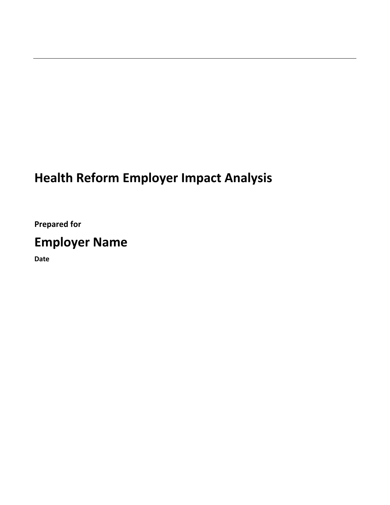# **Health Reform Employer Impact Analysis**

**Prepared for**

# **Employer Name**

**Date**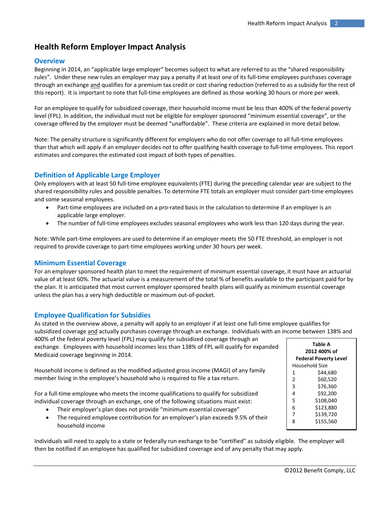# **Health Reform Employer Impact Analysis**

# **Overview**

Beginning in 2014, an "applicable large employer" becomes subject to what are referred to as the "shared responsibility rules". Under these new rules an employer may pay a penalty if at least one of its full‐time employees purchases coverage through an exchange and qualifies for a premium tax credit or cost sharing reduction (referred to as a subsidy for the rest of this report). It is important to note that full‐time employees are defined as those working 30 hours or more per week.

For an employee to qualify for subsidized coverage, their household income must be less than 400% of the federal poverty level (FPL). In addition, the individual must not be eligible for employer sponsored "minimum essential coverage", or the coverage offered by the employer must be deemed "unaffordable". These criteria are explained in more detail below.

Note: The penalty structure is significantly different for employers who do not offer coverage to all full-time employees than that which will apply if an employer decides not to offer qualifying health coverage to full‐time employees. This report estimates and compares the estimated cost impact of both types of penalties.

# **Definition of Applicable Large Employer**

Only employers with at least 50 full‐time employee equivalents (FTE) during the preceding calendar year are subject to the shared responsibility rules and possible penalties. To determine FTE totals an employer must consider part-time employees and some seasonal employees.

- Part-time employees are included on a pro-rated basis in the calculation to determine if an employer is an applicable large employer.
- The number of full-time employees excludes seasonal employees who work less than 120 days during the year.

Note: While part‐time employees are used to determine if an employer meets the 50 FTE threshold, an employer is not required to provide coverage to part‐time employees working under 30 hours per week.

# **Minimum Essential Coverage**

For an employer sponsored health plan to meet the requirement of minimum essential coverage, it must have an actuarial value of at least 60%. The actuarial value is a measurement of the total % of benefits available to the participant paid for by the plan. It is anticipated that most current employer sponsored health plans will qualify as minimum essential coverage unless the plan has a very high deductible or maximum out‐of‐pocket.

# **Employee Qualification for Subsidies**

As stated in the overview above, a penalty will apply to an employer if at least one full‐time employee qualifies for subsidized coverage and actually purchases coverage through an exchange. Individuals with an income between 138% and 400% of the federal poverty level (FPL) may qualify for subsidized coverage through an

exchange. Employees with household incomes less than 138% of FPL will qualify for expanded Medicaid coverage beginning in 2014.

Household income is defined as the modified adjusted gross income (MAGI) of any family member living in the employee's household who is required to file a tax return.

For a full-time employee who meets the income qualifications to qualify for subsidized individual coverage through an exchange, one of the following situations must exist:

- Their employer's plan does not provide "minimum essential coverage"
- The required employee contribution for an employer's plan exceeds 9.5% of their household income

Individuals will need to apply to a state or federally run exchange to be "certified" as subsidy eligible. The employer will then be notified if an employee has qualified for subsidized coverage and of any penalty that may apply.

| Table A |                              |  |  |
|---------|------------------------------|--|--|
|         | 2012 400% of                 |  |  |
|         | <b>Federal Poverty Level</b> |  |  |
|         | Household Size               |  |  |
| 1       | \$44.680                     |  |  |
| 2       | \$60.520                     |  |  |
| 3       | \$76.360                     |  |  |
| 4       | \$92,200                     |  |  |
| 5       | \$108,040                    |  |  |
| 6       | \$123,880                    |  |  |
| 7       | \$139,720                    |  |  |
| ጰ       | \$155,560                    |  |  |
|         |                              |  |  |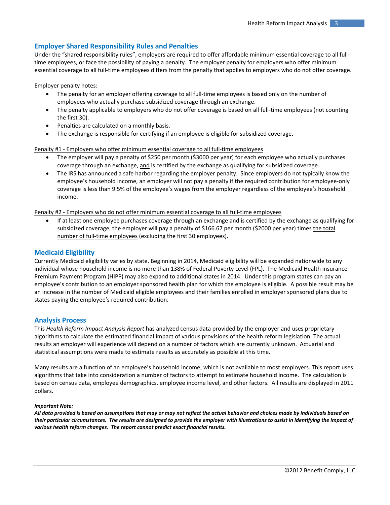# **Employer Shared Responsibility Rules and Penalties**

Under the "shared responsibility rules", employers are required to offer affordable minimum essential coverage to all full‐ time employees, or face the possibility of paying a penalty. The employer penalty for employers who offer minimum essential coverage to all full-time employees differs from the penalty that applies to employers who do not offer coverage.

Employer penalty notes:

- The penalty for an employer offering coverage to all full-time employees is based only on the number of employees who actually purchase subsidized coverage through an exchange.
- The penalty applicable to employers who do not offer coverage is based on all full-time employees (not counting the first 30).
- Penalties are calculated on a monthly basis.
- The exchange is responsible for certifying if an employee is eligible for subsidized coverage.

Penalty #1 ‐ Employers who offer minimum essential coverage to all full‐time employees

- The employer will pay a penalty of \$250 per month (\$3000 per year) for each employee who actually purchases coverage through an exchange, and is certified by the exchange as qualifying for subsidized coverage.
- The IRS has announced a safe harbor regarding the employer penalty. Since employers do not typically know the employee's household income, an employer will not pay a penalty if the required contribution for employee‐only coverage is less than 9.5% of the employee's wages from the employer regardless of the employee's household income.

Penalty #2 ‐ Employers who do not offer minimum essential coverage to all full‐time employees

• If at least one employee purchases coverage through an exchange and is certified by the exchange as qualifying for subsidized coverage, the employer will pay a penalty of \$166.67 per month (\$2000 per year) times the total number of full-time employees (excluding the first 30 employees).

### **Medicaid Eligibility**

Currently Medicaid eligibility varies by state. Beginning in 2014, Medicaid eligibility will be expanded nationwide to any individual whose household income is no more than 138% of Federal Poverty Level (FPL). The Medicaid Health insurance Premium Payment Program (HIPP) may also expand to additional states in 2014. Under this program states can pay an employee's contribution to an employer sponsored health plan for which the employee is eligible. A possible result may be an increase in the number of Medicaid eligible employees and their families enrolled in employer sponsored plans due to states paying the employee's required contribution.

### **Analysis Process**

This *Health Reform Impact Analysis Report* has analyzed census data provided by the employer and uses proprietary algorithms to calculate the estimated financial impact of various provisions of the health reform legislation. The actual results an employer will experience will depend on a number of factors which are currently unknown. Actuarial and statistical assumptions were made to estimate results as accurately as possible at this time.

Many results are a function of an employee's household income, which is not available to most employers. This report uses algorithms that take into consideration a number of factors to attempt to estimate household income. The calculation is based on census data, employee demographics, employee income level, and other factors. All results are displayed in 2011 dollars.

#### *Important Note:*

All data provided is based on assumptions that may or may not reflect the actual behavior and choices made by individuals based on their particular circumstances. The results are designed to provide the employer with illustrations to assist in identifying the impact of *various health reform changes. The report cannot predict exact financial results.*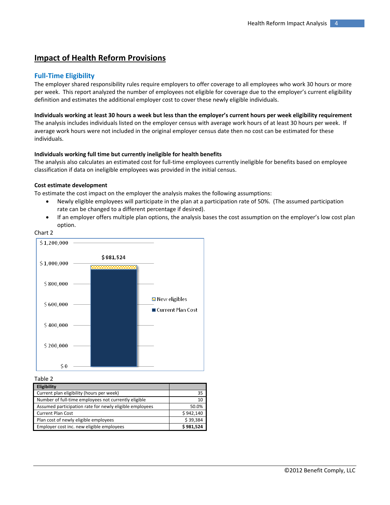# **Impact of Health Reform Provisions**

### **Full‐Time Eligibility**

The employer shared responsibility rules require employers to offer coverage to all employees who work 30 hours or more per week. This report analyzed the number of employees not eligible for coverage due to the employer's current eligibility definition and estimates the additional employer cost to cover these newly eligible individuals.

#### Individuals working at least 30 hours a week but less than the employer's current hours per week eligibility requirement

The analysis includes individuals listed on the employer census with average work hours of at least 30 hours per week. If average work hours were not included in the original employer census date then no cost can be estimated for these individuals.

#### **Individuals working full time but currently ineligible for health benefits**

The analysis also calculates an estimated cost for full‐time employees currently ineligible for benefits based on employee classification if data on ineligible employees was provided in the initial census.

#### **Cost estimate development**

To estimate the cost impact on the employer the analysis makes the following assumptions:

- Newly eligible employees will participate in the plan at a participation rate of 50%. (The assumed participation rate can be changed to a different percentage if desired).
- If an employer offers multiple plan options, the analysis bases the cost assumption on the employer's low cost plan option.





Table 2

| Eligibility                                             |           |
|---------------------------------------------------------|-----------|
| Current plan eligibility (hours per week)               | 35        |
| Number of full-time employees not currently eligible    | 10        |
| Assumed participation rate for newly eligible employees | 50.0%     |
| Current Plan Cost                                       | \$942.140 |
| Plan cost of newly eligible employees                   | \$39,384  |
| Employer cost inc. new eligible employees               | \$981,524 |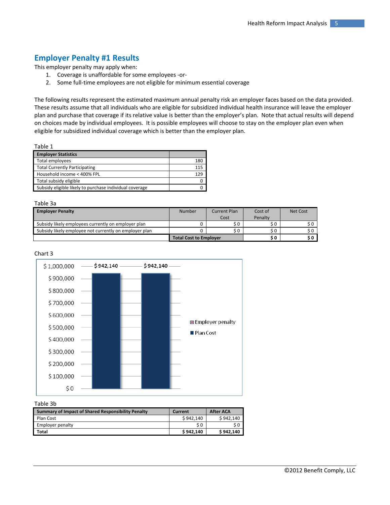# **Employer Penalty #1 Results**

This employer penalty may apply when:

- 1. Coverage is unaffordable for some employees ‐or‐
- 2. Some full-time employees are not eligible for minimum essential coverage

The following results represent the estimated maximum annual penalty risk an employer faces based on the data provided. These results assume that all individuals who are eligible for subsidized individual health insurance will leave the employer plan and purchase that coverage if its relative value is better than the employer's plan. Note that actual results will depend on choices made by individual employees. It is possible employees will choose to stay on the employer plan even when eligible for subsidized individual coverage which is better than the employer plan.

| Table 1                                                 |     |
|---------------------------------------------------------|-----|
| <b>Employer Statistics</b>                              |     |
| Total employees                                         | 180 |
| <b>Total Currently Participating</b>                    | 115 |
| Household income < 400% FPL                             | 129 |
| Total subsidy eligible                                  | n   |
| Subsidy eligible likely to purchase individual coverage | n   |

#### Table 3a

| <b>Employer Penalty</b>                                | Number                        | Current Plan | Cost of | Net Cost |
|--------------------------------------------------------|-------------------------------|--------------|---------|----------|
|                                                        |                               | Cost         | Penalty |          |
| Subsidy likely employees currently on employer plan    |                               |              |         |          |
| Subsidy likely employee not currently on employer plan |                               | S O          | S O     |          |
|                                                        | <b>Total Cost to Employer</b> |              | S O     |          |





#### Table 3b

| <b>Summary of Impact of Shared Responsibility Penalty</b> | Current   | <b>After ACA</b> |
|-----------------------------------------------------------|-----------|------------------|
| Plan Cost                                                 | \$942.140 | \$942,140        |
| Employer penalty                                          | \$ 0      |                  |
| Total                                                     | \$942.140 | \$942.140        |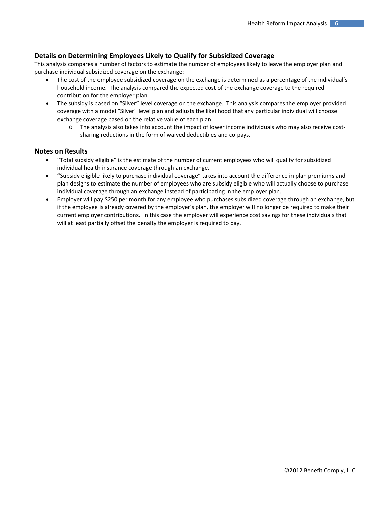# **Details on Determining Employees Likely to Qualify for Subsidized Coverage**

This analysis compares a number of factors to estimate the number of employees likely to leave the employer plan and purchase individual subsidized coverage on the exchange:

- The cost of the employee subsidized coverage on the exchange is determined as a percentage of the individual's household income. The analysis compared the expected cost of the exchange coverage to the required contribution for the employer plan.
- The subsidy is based on "Silver" level coverage on the exchange. This analysis compares the employer provided coverage with a model "Silver" level plan and adjusts the likelihood that any particular individual will choose exchange coverage based on the relative value of each plan.
	- o The analysis also takes into account the impact of lower income individuals who may also receive cost‐ sharing reductions in the form of waived deductibles and co‐pays.

## **Notes on Results**

- "Total subsidy eligible" is the estimate of the number of current employees who will qualify for subsidized individual health insurance coverage through an exchange.
- "Subsidy eligible likely to purchase individual coverage" takes into account the difference in plan premiums and plan designs to estimate the number of employees who are subsidy eligible who will actually choose to purchase individual coverage through an exchange instead of participating in the employer plan.
- Employer will pay \$250 per month for any employee who purchases subsidized coverage through an exchange, but if the employee is already covered by the employer's plan, the employer will no longer be required to make their current employer contributions. In this case the employer will experience cost savings for these individuals that will at least partially offset the penalty the employer is required to pay.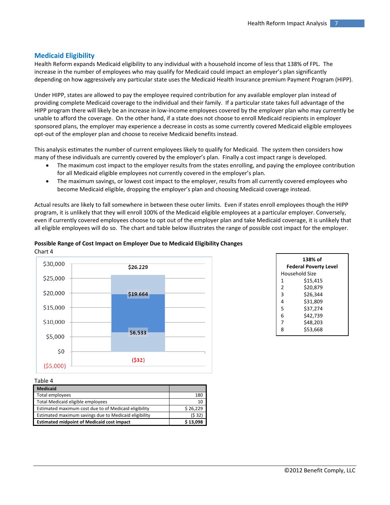## **Medicaid Eligibility**

Health Reform expands Medicaid eligibility to any individual with a household income of less that 138% of FPL. The increase in the number of employees who may qualify for Medicaid could impact an employer's plan significantly depending on how aggressively any particular state uses the Medicaid Health Insurance premium Payment Program (HIPP).

Under HIPP, states are allowed to pay the employee required contribution for any available employer plan instead of providing complete Medicaid coverage to the individual and their family. If a particular state takes full advantage of the HIPP program there will likely be an increase in low‐income employees covered by the employer plan who may currently be unable to afford the coverage. On the other hand, if a state does not choose to enroll Medicaid recipients in employer sponsored plans, the employer may experience a decrease in costs as some currently covered Medicaid eligible employees opt‐out of the employer plan and choose to receive Medicaid benefits instead.

This analysis estimates the number of current employees likely to qualify for Medicaid. The system then considers how many of these individuals are currently covered by the employer's plan. Finally a cost impact range is developed.

- The maximum cost impact to the employer results from the states enrolling, and paying the employee contribution for all Medicaid eligible employees not currently covered in the employer's plan.
- The maximum savings, or lowest cost impact to the employer, results from all currently covered employees who become Medicaid eligible, dropping the employer's plan and choosing Medicaid coverage instead.

Actual results are likely to fall somewhere in between these outer limits. Even if states enroll employees though the HIPP program, it is unlikely that they will enroll 100% of the Medicaid eligible employees at a particular employer. Conversely, even if currently covered employees choose to opt out of the employer plan and take Medicaid coverage, it is unlikely that all eligible employees will do so. The chart and table below illustrates the range of possible cost impact for the employer.

# **Possible Range of Cost Impact on Employer Due to Medicaid Eligibility Changes**



| 138% of |                              |  |  |
|---------|------------------------------|--|--|
|         | <b>Federal Poverty Level</b> |  |  |
|         | Household Size               |  |  |
| 1       | \$15,415                     |  |  |
| 2       | \$20.879                     |  |  |
| 3       | \$26.344                     |  |  |
| 4       | \$31,809                     |  |  |
| 5       | \$37,274                     |  |  |
| 6       | \$42.739                     |  |  |
| 7       | \$48.203                     |  |  |
| 8       | \$53,668                     |  |  |

Table 4

| <b>Medicaid</b>                                       |          |
|-------------------------------------------------------|----------|
| Total employees                                       | 180      |
| Total Medicaid eligible employees                     | 10       |
| Estimated maximum cost due to of Medicaid eligibility | \$26,229 |
| Estimated maximum savings due to Medicaid eligibility | (532)    |
| <b>Estimated midpoint of Medicaid cost impact</b>     | \$13.098 |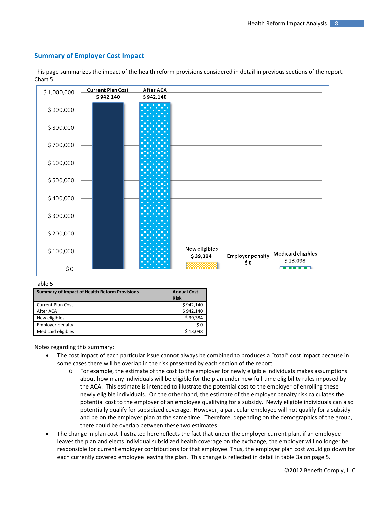# **Summary of Employer Cost Impact**



This page summarizes the impact of the health reform provisions considered in detail in previous sections of the report. Chart 5

#### Table 5

| <b>Summary of Impact of Health Reform Provisions</b> | <b>Annual Cost</b><br><b>Risk</b> |
|------------------------------------------------------|-----------------------------------|
| <b>Current Plan Cost</b>                             | \$942,140                         |
| After ACA                                            | \$942,140                         |
| New eligibles                                        | \$39,384                          |
| <b>Employer penalty</b>                              | S 0                               |
| Medicaid eligibles                                   | \$13,098                          |

Notes regarding this summary:

- The cost impact of each particular issue cannot always be combined to produces a "total" cost impact because in some cases there will be overlap in the risk presented by each section of the report.
	- o For example, the estimate of the cost to the employer for newly eligible individuals makes assumptions about how many individuals will be eligible for the plan under new full-time eligibility rules imposed by the ACA. This estimate is intended to illustrate the potential cost to the employer of enrolling these newly eligible individuals. On the other hand, the estimate of the employer penalty risk calculates the potential cost to the employer of an employee qualifying for a subsidy. Newly eligible individuals can also potentially qualify for subsidized coverage. However, a particular employee will not qualify for a subsidy and be on the employer plan at the same time. Therefore, depending on the demographics of the group, there could be overlap between these two estimates.
- The change in plan cost illustrated here reflects the fact that under the employer current plan, if an employee leaves the plan and elects individual subsidized health coverage on the exchange, the employer will no longer be responsible for current employer contributions for that employee. Thus, the employer plan cost would go down for each currently covered employee leaving the plan. This change is reflected in detail in table 3a on page 5.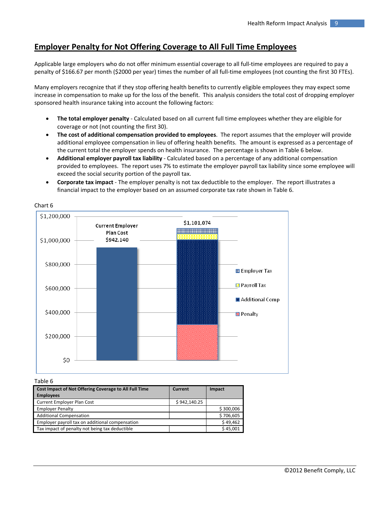# **Employer Penalty for Not Offering Coverage to All Full Time Employees**

Applicable large employers who do not offer minimum essential coverage to all full‐time employees are required to pay a penalty of \$166.67 per month (\$2000 per year) times the number of all full-time employees (not counting the first 30 FTEs).

Many employers recognize that if they stop offering health benefits to currently eligible employees they may expect some increase in compensation to make up for the loss of the benefit. This analysis considers the total cost of dropping employer sponsored health insurance taking into account the following factors:

- **The total employer penalty** ‐ Calculated based on all current full time employees whether they are eligible for coverage or not (not counting the first 30).
- **The cost of additional compensation provided to employees**. The report assumes that the employer will provide additional employee compensation in lieu of offering health benefits. The amount is expressed as a percentage of the current total the employer spends on health insurance. The percentage is shown in Table 6 below.
- **Additional employer payroll tax liability** ‐ Calculated based on a percentage of any additional compensation provided to employees. The report uses 7% to estimate the employer payroll tax liability since some employee will exceed the social security portion of the payroll tax.
- **Corporate tax impact** ‐ The employer penalty is not tax deductible to the employer. The report illustrates a financial impact to the employer based on an assumed corporate tax rate shown in Table 6.



### Chart 6

Table 6

| Cost Impact of Not Offering Coverage to All Full Time<br><b>Employees</b> | Current      | Impact    |
|---------------------------------------------------------------------------|--------------|-----------|
| <b>Current Employer Plan Cost</b>                                         | \$942,140.25 |           |
| <b>Employer Penalty</b>                                                   |              | \$300,006 |
| <b>Additional Compensation</b>                                            |              | \$706,605 |
| Employer payroll tax on additional compensation                           |              | \$49,462  |
| Tax impact of penalty not being tax deductible                            |              | \$45,001  |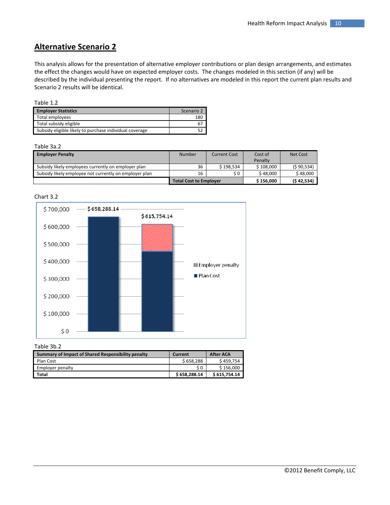# **Alternative Scenario 2**

This analysis allows for the presentation of alternative employer contributions or plan design arrangements, and estimates the effect the changes would have on expected employer costs. The changes modeled in this section (if any) will be described by the individual presenting the report. If no alternatives are modeled in this report the current plan results and Scenario 2 results will be identical.

|--|--|

| <b>Employer Statistics</b>                              | Scenario 2 |
|---------------------------------------------------------|------------|
| Total employees                                         | 180        |
| Total subsidy eligible                                  | 67         |
| Subsidy eligible likely to purchase individual coverage |            |

#### Table 3a.2

| <b>Employer Penalty</b>                                | Number                        | <b>Current Cost</b> | Cost of   | Net Cost   |
|--------------------------------------------------------|-------------------------------|---------------------|-----------|------------|
|                                                        |                               |                     | Penalty   |            |
| Subsidy likely employees currently on employer plan    | 36                            | \$198.534           | \$108.000 | (590,534)  |
| Subsidy likely employee not currently on employer plan | 16                            | \$0                 | \$48,000  | \$48,000   |
|                                                        | <b>Total Cost to Employer</b> |                     | \$156,000 | (542, 534) |





| Table 3b.2                                         |              |                  |
|----------------------------------------------------|--------------|------------------|
| Summary of Impact of Shared Responsibility penalty | Current      | <b>After ACA</b> |
| Plan Cost                                          | \$658.288    | \$459.754        |
| Employer penalty                                   | \$0          | \$156.000        |
| Total                                              | \$658,288.14 | \$615,754.14     |